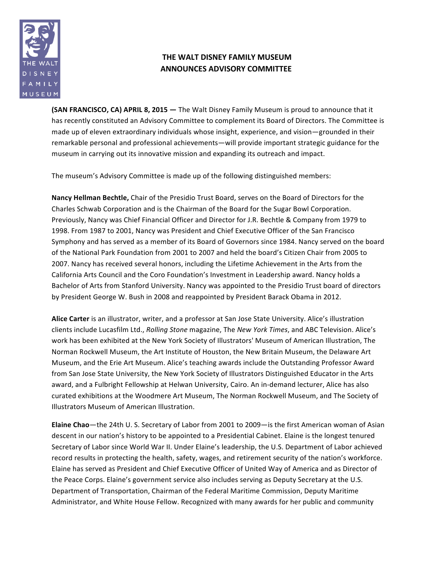

## **THE WALT DISNEY FAMILY MUSEUM ANNOUNCES ADVISORY COMMITTEE**

**(SAN FRANCISCO, CA) APRIL 8, 2015** — The Walt Disney Family Museum is proud to announce that it has recently constituted an Advisory Committee to complement its Board of Directors. The Committee is made up of eleven extraordinary individuals whose insight, experience, and vision—grounded in their remarkable personal and professional achievements—will provide important strategic guidance for the museum in carrying out its innovative mission and expanding its outreach and impact.

The museum's Advisory Committee is made up of the following distinguished members:

Nancy Hellman Bechtle, Chair of the Presidio Trust Board, serves on the Board of Directors for the Charles Schwab Corporation and is the Chairman of the Board for the Sugar Bowl Corporation. Previously, Nancy was Chief Financial Officer and Director for J.R. Bechtle & Company from 1979 to 1998. From 1987 to 2001, Nancy was President and Chief Executive Officer of the San Francisco Symphony and has served as a member of its Board of Governors since 1984. Nancy served on the board of the National Park Foundation from 2001 to 2007 and held the board's Citizen Chair from 2005 to 2007. Nancy has received several honors, including the Lifetime Achievement in the Arts from the California Arts Council and the Coro Foundation's Investment in Leadership award. Nancy holds a Bachelor of Arts from Stanford University. Nancy was appointed to the Presidio Trust board of directors by President George W. Bush in 2008 and reappointed by President Barack Obama in 2012.

Alice Carter is an illustrator, writer, and a professor at San Jose State University. Alice's illustration clients include Lucasfilm Ltd., *Rolling Stone* magazine, The *New York Times*, and ABC Television. Alice's work has been exhibited at the New York Society of Illustrators' Museum of American Illustration, The Norman Rockwell Museum, the Art Institute of Houston, the New Britain Museum, the Delaware Art Museum, and the Erie Art Museum. Alice's teaching awards include the Outstanding Professor Award from San Jose State University, the New York Society of Illustrators Distinguished Educator in the Arts award, and a Fulbright Fellowship at Helwan University, Cairo. An in-demand lecturer, Alice has also curated exhibitions at the Woodmere Art Museum, The Norman Rockwell Museum, and The Society of Illustrators Museum of American Illustration. 

**Elaine Chao**—the 24th U. S. Secretary of Labor from 2001 to 2009—is the first American woman of Asian descent in our nation's history to be appointed to a Presidential Cabinet. Elaine is the longest tenured Secretary of Labor since World War II. Under Elaine's leadership, the U.S. Department of Labor achieved record results in protecting the health, safety, wages, and retirement security of the nation's workforce. Elaine has served as President and Chief Executive Officer of United Way of America and as Director of the Peace Corps. Elaine's government service also includes serving as Deputy Secretary at the U.S. Department of Transportation, Chairman of the Federal Maritime Commission, Deputy Maritime Administrator, and White House Fellow. Recognized with many awards for her public and community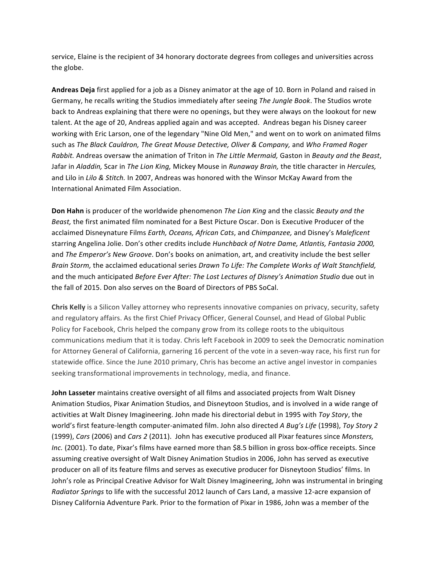service, Elaine is the recipient of 34 honorary doctorate degrees from colleges and universities across the globe.

Andreas Deja first applied for a job as a Disney animator at the age of 10. Born in Poland and raised in Germany, he recalls writing the Studios immediately after seeing The Jungle Book. The Studios wrote back to Andreas explaining that there were no openings, but they were always on the lookout for new talent. At the age of 20, Andreas applied again and was accepted. Andreas began his Disney career working with Eric Larson, one of the legendary "Nine Old Men," and went on to work on animated films such as *The Black Cauldron, The Great Mouse Detective, Oliver & Company,* and *Who Framed Roger Rabbit.* Andreas oversaw the animation of Triton in The Little Mermaid, Gaston in Beauty and the Beast, Jafar in *Aladdin,* Scar in *The Lion King,* Mickey Mouse in *Runaway Brain,* the title character in *Hercules,* and Lilo in *Lilo & Stitch*. In 2007, Andreas was honored with the Winsor McKay Award from the International Animated Film Association. 

**Don Hahn** is producer of the worldwide phenomenon *The Lion King* and the classic *Beauty and the Beast*, the first animated film nominated for a Best Picture Oscar. Don is Executive Producer of the acclaimed Disneynature Films *Earth, Oceans, African Cats*, and *Chimpanzee,* and Disney's *Maleficent* starring Angelina Jolie. Don's other credits include *Hunchback of Notre Dame, Atlantis, Fantasia 2000,* and *The Emperor's New Groove*. Don's books on animation, art, and creativity include the best seller *Brain Storm,* the acclaimed educational series *Drawn To Life: The Complete Works of Walt Stanchfield,* and the much anticipated *Before Ever After: The Lost Lectures of Disney's Animation Studio* due out in the fall of 2015. Don also serves on the Board of Directors of PBS SoCal.

**Chris Kelly** is a Silicon Valley attorney who represents innovative companies on privacy, security, safety and regulatory affairs. As the first Chief Privacy Officer, General Counsel, and Head of Global Public Policy for Facebook, Chris helped the company grow from its college roots to the ubiquitous communications medium that it is today. Chris left Facebook in 2009 to seek the Democratic nomination for Attorney General of California, garnering 16 percent of the vote in a seven-way race, his first run for statewide office. Since the June 2010 primary, Chris has become an active angel investor in companies seeking transformational improvements in technology, media, and finance.

**John Lasseter** maintains creative oversight of all films and associated projects from Walt Disney Animation Studios, Pixar Animation Studios, and Disneytoon Studios, and is involved in a wide range of activities at Walt Disney Imagineering. John made his directorial debut in 1995 with *Toy Story*, the world's first feature-length computer-animated film. John also directed *A Bug's Life* (1998), *Toy Story 2* (1999), *Cars* (2006) and *Cars* 2 (2011). John has executive produced all Pixar features since *Monsters, Inc.* (2001). To date, Pixar's films have earned more than \$8.5 billion in gross box-office receipts. Since assuming creative oversight of Walt Disney Animation Studios in 2006, John has served as executive producer on all of its feature films and serves as executive producer for Disneytoon Studios' films. In John's role as Principal Creative Advisor for Walt Disney Imagineering, John was instrumental in bringing *Radiator Springs* to life with the successful 2012 launch of Cars Land, a massive 12-acre expansion of Disney California Adventure Park. Prior to the formation of Pixar in 1986, John was a member of the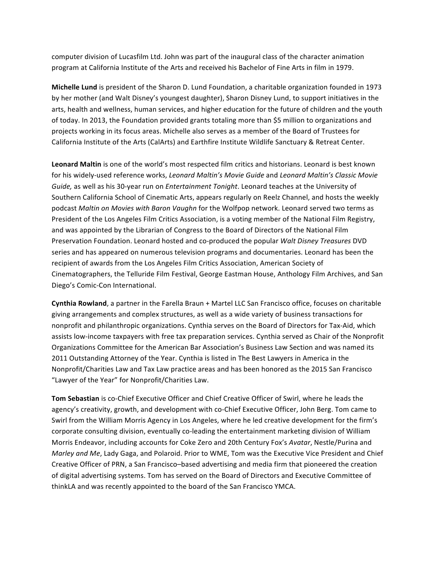computer division of Lucasfilm Ltd. John was part of the inaugural class of the character animation program at California Institute of the Arts and received his Bachelor of Fine Arts in film in 1979.

**Michelle Lund** is president of the Sharon D. Lund Foundation, a charitable organization founded in 1973 by her mother (and Walt Disney's youngest daughter), Sharon Disney Lund, to support initiatives in the arts, health and wellness, human services, and higher education for the future of children and the youth of today. In 2013, the Foundation provided grants totaling more than \$5 million to organizations and projects working in its focus areas. Michelle also serves as a member of the Board of Trustees for California Institute of the Arts (CalArts) and Earthfire Institute Wildlife Sanctuary & Retreat Center.

Leonard Maltin is one of the world's most respected film critics and historians. Leonard is best known for his widely-used reference works, *Leonard Maltin's Movie Guide* and *Leonard Maltin's Classic Movie Guide*, as well as his 30-year run on *Entertainment Tonight*. Leonard teaches at the University of Southern California School of Cinematic Arts, appears regularly on Reelz Channel, and hosts the weekly podcast Maltin on Movies with Baron Vaughn for the Wolfpop network. Leonard served two terms as President of the Los Angeles Film Critics Association, is a voting member of the National Film Registry, and was appointed by the Librarian of Congress to the Board of Directors of the National Film Preservation Foundation. Leonard hosted and co-produced the popular *Walt Disney Treasures* DVD series and has appeared on numerous television programs and documentaries. Leonard has been the recipient of awards from the Los Angeles Film Critics Association, American Society of Cinematographers, the Telluride Film Festival, George Eastman House, Anthology Film Archives, and San Diego's Comic-Con International.

**Cynthia Rowland**, a partner in the Farella Braun + Martel LLC San Francisco office, focuses on charitable giving arrangements and complex structures, as well as a wide variety of business transactions for nonprofit and philanthropic organizations. Cynthia serves on the Board of Directors for Tax-Aid, which assists low-income taxpayers with free tax preparation services. Cynthia served as Chair of the Nonprofit Organizations Committee for the American Bar Association's Business Law Section and was named its 2011 Outstanding Attorney of the Year. Cynthia is listed in The Best Lawyers in America in the Nonprofit/Charities Law and Tax Law practice areas and has been honored as the 2015 San Francisco "Lawyer of the Year" for Nonprofit/Charities Law.

**Tom Sebastian** is co-Chief Executive Officer and Chief Creative Officer of Swirl, where he leads the agency's creativity, growth, and development with co-Chief Executive Officer, John Berg. Tom came to Swirl from the William Morris Agency in Los Angeles, where he led creative development for the firm's corporate consulting division, eventually co-leading the entertainment marketing division of William Morris Endeavor, including accounts for Coke Zero and 20th Century Fox's Avatar, Nestle/Purina and *Marley and Me*, Lady Gaga, and Polaroid. Prior to WME, Tom was the Executive Vice President and Chief Creative Officer of PRN, a San Francisco–based advertising and media firm that pioneered the creation of digital advertising systems. Tom has served on the Board of Directors and Executive Committee of thinkLA and was recently appointed to the board of the San Francisco YMCA.